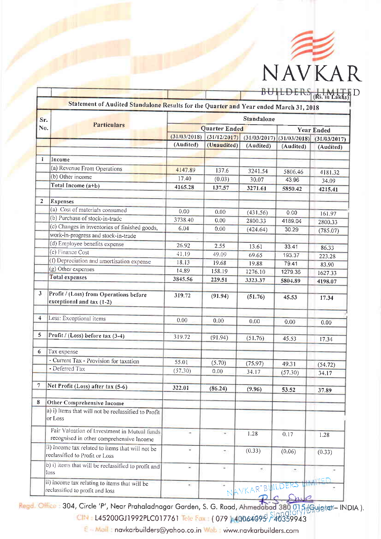

|                         | Statement of Audited Standalone Results for the Quarter and Year ended March 31, 2018    |                                                      |             |                 | $D \cup I \cup L \cup K \cup (R\tilde{s}.$ in Lakhs)              |           |  |
|-------------------------|------------------------------------------------------------------------------------------|------------------------------------------------------|-------------|-----------------|-------------------------------------------------------------------|-----------|--|
| Sr.                     |                                                                                          |                                                      |             | Standalone      |                                                                   |           |  |
| No.                     | <b>Particulars</b>                                                                       |                                                      |             |                 |                                                                   |           |  |
|                         |                                                                                          | <b>Quarter Ended</b><br>(31/03/2018)<br>(31/12/2017) |             |                 | <b>Year Ended</b><br>$(31/03/2017)$ $(31/03/2018)$ $(31/03/2017)$ |           |  |
|                         |                                                                                          | (Audited)                                            | (Unaudited) | (Audited)       | (Audited)                                                         |           |  |
|                         |                                                                                          |                                                      |             |                 |                                                                   | (Audited) |  |
| $\mathbf{1}$            | Income                                                                                   |                                                      |             |                 |                                                                   |           |  |
|                         | (a) Revenue From Operations                                                              | 4147.89                                              | 137.6       | 3241.54         | 5806.46                                                           | 4181.32   |  |
|                         | (b) Other income                                                                         | 17.40                                                | (0.03)      | 30.07           | 43.96                                                             | 34.09     |  |
|                         | Total Income (a+b)                                                                       | 4165.28                                              | 137.57      | 3271.61         | 5850.42                                                           | 4215.41   |  |
|                         |                                                                                          |                                                      |             |                 |                                                                   |           |  |
| $\overline{2}$          | <b>Expenses</b>                                                                          |                                                      |             |                 |                                                                   |           |  |
|                         | (a) Cost of materials consumed                                                           | 0.00                                                 | 0.00        | (431.56)        | 0.00                                                              | 161.97    |  |
|                         | (b) Purchase of stock-in-trade                                                           | 3738.40                                              | 0.00        | 2800.33         | 4189.04                                                           | 2800.33   |  |
|                         | (c) Changes in inventories of finished goods,                                            | 6.04                                                 | 0.00        | (424.64)        | 30 29                                                             | (785.07)  |  |
|                         | work-in-progress and stock-in-trade                                                      |                                                      |             |                 |                                                                   |           |  |
|                         | (d) Employee benefits expense                                                            | 26.92                                                | 2.55        | 13.61           | 33.41                                                             | 86.33     |  |
|                         | (e) Finance Cost                                                                         | 41.19                                                | 49.09       | 69.65           | 193.37                                                            | 223.28    |  |
|                         | (f) Depreciation and amortisation expense                                                | 18.13                                                | 19.68       | 19.88           | 79.41                                                             | 83.90     |  |
|                         | (g) Other expenses                                                                       | 14.89                                                | 158.19      | 1276.10         | 1279 36                                                           | 1627.33   |  |
|                         | <b>Total expenses</b>                                                                    | 3845.56                                              | 229.51      | 3323.37         | 5804.89                                                           | 4198.07   |  |
|                         |                                                                                          |                                                      |             |                 |                                                                   |           |  |
| $\mathbf{3}$            | Profit / (Loss) from Operations before<br>exceptional and tax (1-2)                      | 319.72                                               | (91.94)     | (51.76)         | 45.53                                                             | 17.34     |  |
| $\overline{\mathbf{4}}$ | Less: Exceptional items                                                                  | 0.00                                                 | 0.00        | 0.00            | 0.00                                                              | 0.00      |  |
| 5                       | Profit / (Loss) before tax (3-4)                                                         |                                                      |             |                 |                                                                   |           |  |
|                         |                                                                                          | 319.72                                               | (91.94)     | (51.76)         | 45.53                                                             | 17.34     |  |
| 6                       | Tax expense                                                                              |                                                      |             |                 |                                                                   |           |  |
|                         | - Current Tax - Provision for taxation                                                   |                                                      |             |                 |                                                                   |           |  |
|                         | - Deferred Tax                                                                           | 55.01                                                | (5.70)      | (75.97)         | 49.31                                                             | (54.72)   |  |
|                         |                                                                                          | (57.30)                                              | 0.00        | 34.17           | (57.30)                                                           | 34.17     |  |
| $\overline{7}$          | Net Profit (Loss) after tax (5-6)                                                        |                                                      |             |                 |                                                                   |           |  |
|                         |                                                                                          | 322.01                                               | (86.24)     | (9.96)          | 53.52                                                             | 37.89     |  |
| 8                       | <b>Other Comprehensive Income</b>                                                        |                                                      |             |                 |                                                                   |           |  |
|                         | a) i) Items that will not be reclassified to Profit<br>or Loss                           |                                                      |             |                 |                                                                   |           |  |
|                         | Fair Valuation of Investment in Mutual funds<br>recognised in other comprehensive Income |                                                      |             | 1.28            | 0.17                                                              | 1.28      |  |
|                         | ii) Income tax related to items that will not be<br>reclassified to Profit or Loss       | ¥                                                    | 50          | (0.33)          | (0.06)                                                            | (0.33)    |  |
|                         | b) i) items that will be reclassified to profit and<br>loss                              | $\geq$                                               | ÷.          | ÷               | $\bullet$                                                         |           |  |
|                         | ii) income tax relating to items that will be<br>reclassified to profit and loss         | ÷                                                    |             | NAVKAR-BUILDERS |                                                                   |           |  |

Regd. Office: 304, Circle 'P', Near Prahaladnagar Garden, S. G. Road, Ahmedabad 380 015 (Grujatat-INDIA). CIN : L45200GJ1992PLC017761 Tele Fax: (079 A40064095 240359943

E - Mail: navkarbuilders@yahoo.co.in Web: www.navkarbuilders.com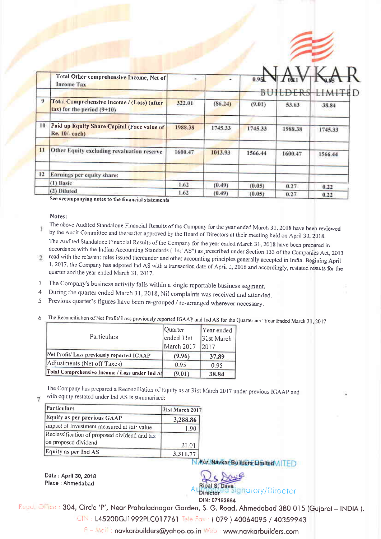

|    | Total Other comprehensive Income, Net of<br><b>Income Tax</b>                 |         |         | 0.951   | $T_{0M}$ |                         |
|----|-------------------------------------------------------------------------------|---------|---------|---------|----------|-------------------------|
|    |                                                                               |         |         |         |          | <b>BUILDERS LIMITEI</b> |
| 9  | Total Comprehensive Income / (Loss) (after<br>$tan$ ) for the period $(9+10)$ | 322.01  | (86.24) | (9.01)  | 53.63    | 38.84                   |
| 10 | Paid up Equity Share Capital (Face value of<br>Re. 10/- each)                 | 1988.38 | 1745.33 | 1745.33 | 1988.38  | 1745.33                 |
| 11 | Other Equity excluding revaluation reserve                                    | 1600.47 | 1013.93 | 1566.44 | 1600.47  | 1566.44                 |
| 12 | Earnings per equity share:                                                    |         |         |         |          |                         |
|    | $(1)$ Basic                                                                   | 1.62    | (0.49)  | (0.05)  | 0.27     | 0.22                    |
|    | (2) Diluted                                                                   | 1.62    | (0.49)  | (0.05)  | 0.27     | 0.22                    |

See accompanying notes to the financial statements

## Notes:

- The above Audited Standalone Financial Results of the Company for the year ended March 31, 2018 have been reviewed Ī by the Audit Committee and thereafter approved by the Board of Directors at their meeting held on April 30, 2018. The Audited Standalone Financial Results of the Company for the year ended March 31, 2018 have been prepared in
- accordance with the Indian Accounting Standards ("Ind AS") as prescribed under Section 133 of the Companies Act, 2013<br>read with the relavent rules issued thereunder and other accounting principles generally accepted in Ind 1, 2017, the Company has adpoted Ind AS with a transaction date of April 1, 2016 and accordingly, restated results for the quarter and the year ended March 31, 2017.
- The Company's business activity falls within a single reportable business segment. 3
- During the quarter ended March 31, 2018, Nil complaints was received and attended. 4
- Previous quarter's figures have been re-grouped / re-arranged wherever necessary. 5
- 6 The Reconciliation of Net Profit/ Loss previously reported IGAAP and Ind AS for the Quarter and Year Ended March 31, 2017

| Particulars                                    | Quarter<br>ended 31st | Year ended<br>31st March |  |
|------------------------------------------------|-----------------------|--------------------------|--|
|                                                | March 2017            | 2017                     |  |
| Net Profit/ Loss previously reported IGAAP     | (9.96)                | 37.89                    |  |
| Adjustments (Net off Taxes)                    | 0.95                  | 0.95                     |  |
| Total Comprehensive Income / Loss under Ind A! | (9.01)                | 38.84                    |  |

The Company has prepared a Reconciliation of Equity as at 31st March 2017 under previous IGAAP and with equity restated under Ind AS is summarised:

| Particulars                                                           | 31st March 2017 |  |
|-----------------------------------------------------------------------|-----------------|--|
| Equity as per previous GAAP                                           | 3,288.86        |  |
| Impact of Investment measured at fair value                           | 1.90            |  |
| Reclassification of proposed dividend and tax<br>on proposed dividend | 21.01           |  |
| Equity as per Ind AS                                                  | 3,311.77        |  |

Date : April 30,2018

N Kor, Navkar Builders Dmited VITED

DIN: 07192664 Place: Ahmedabad **A contractory/Director** A contractory/Director

Regd. Office: 304, Circle 'P', Near Prahaladnagar Garden, S. G. Road, Ahmedabad 380 015 (Gujarat - INDIA).

CIN: L45200GJ1992PLC017761 Tele Fox: (079) 40064095 / 40359943

E - Mail: navkarbuilders@yahoo.co.in Web : www.navkarbuilders.com